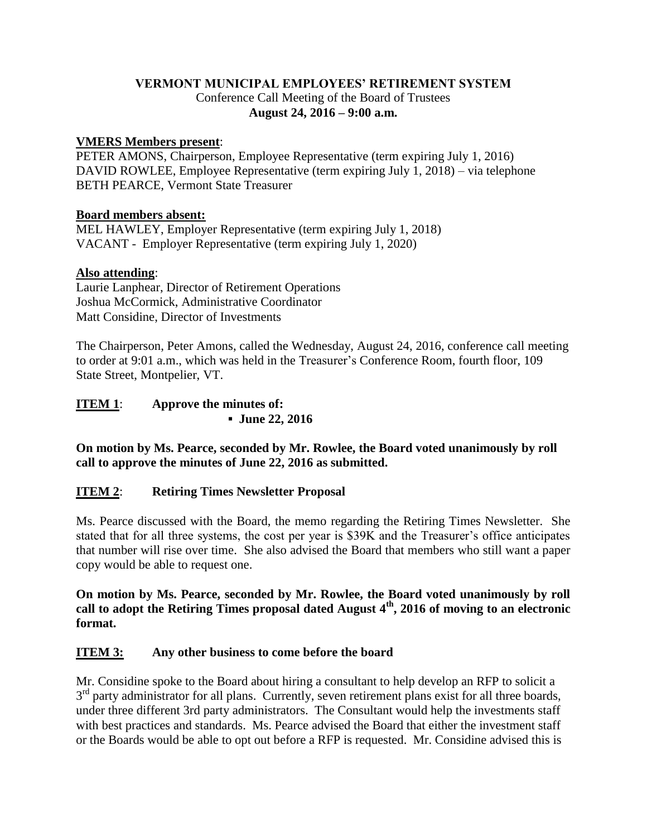# **VERMONT MUNICIPAL EMPLOYEES' RETIREMENT SYSTEM** Conference Call Meeting of the Board of Trustees **August 24, 2016 – 9:00 a.m.**

### **VMERS Members present**:

PETER AMONS, Chairperson, Employee Representative (term expiring July 1, 2016) DAVID ROWLEE, Employee Representative (term expiring July 1, 2018) – via telephone BETH PEARCE, Vermont State Treasurer

#### **Board members absent:**

MEL HAWLEY, Employer Representative (term expiring July 1, 2018) VACANT - Employer Representative (term expiring July 1, 2020)

### **Also attending**:

Laurie Lanphear, Director of Retirement Operations Joshua McCormick, Administrative Coordinator Matt Considine, Director of Investments

The Chairperson, Peter Amons, called the Wednesday, August 24, 2016, conference call meeting to order at 9:01 a.m., which was held in the Treasurer's Conference Room, fourth floor, 109 State Street, Montpelier, VT.

| <b>ITEM 1:</b> | Approve the minutes of: |
|----------------|-------------------------|
|                | • June 22, 2016         |

**On motion by Ms. Pearce, seconded by Mr. Rowlee, the Board voted unanimously by roll call to approve the minutes of June 22, 2016 as submitted.**

# **ITEM 2**: **Retiring Times Newsletter Proposal**

Ms. Pearce discussed with the Board, the memo regarding the Retiring Times Newsletter. She stated that for all three systems, the cost per year is \$39K and the Treasurer's office anticipates that number will rise over time. She also advised the Board that members who still want a paper copy would be able to request one.

**On motion by Ms. Pearce, seconded by Mr. Rowlee, the Board voted unanimously by roll call to adopt the Retiring Times proposal dated August 4th, 2016 of moving to an electronic format.**

# **ITEM 3: Any other business to come before the board**

Mr. Considine spoke to the Board about hiring a consultant to help develop an RFP to solicit a 3<sup>rd</sup> party administrator for all plans. Currently, seven retirement plans exist for all three boards, under three different 3rd party administrators. The Consultant would help the investments staff with best practices and standards. Ms. Pearce advised the Board that either the investment staff or the Boards would be able to opt out before a RFP is requested. Mr. Considine advised this is